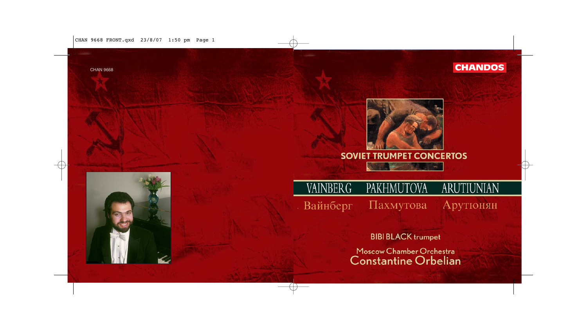

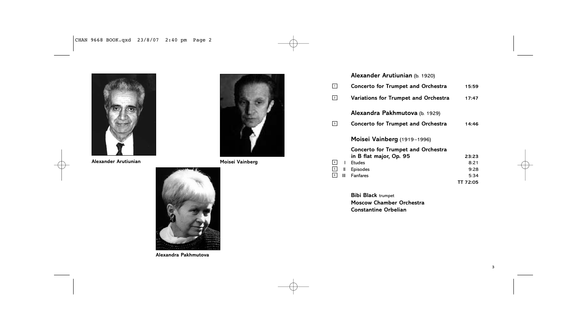

**Alexander Arutiunian Moisei Vainberg**





**Alexandra Pakhmutova**

|                | Alexander Arutiunian (b. 1920)              |          |
|----------------|---------------------------------------------|----------|
| 1              | <b>Concerto for Trumpet and Orchestra</b>   | 15:59    |
| $\vert$ 2      | <b>Variations for Trumpet and Orchestra</b> | 17:47    |
|                | Alexandra Pakhmutova (b. 1929)              |          |
| 3              | <b>Concerto for Trumpet and Orchestra</b>   | 14:46    |
|                | Moisei Vainberg (1919-1996)                 |          |
|                | <b>Concerto for Trumpet and Orchestra</b>   |          |
|                | in B flat major, Op. 95                     | 23:23    |
| $\overline{4}$ | <b>Frudes</b><br>т                          | 8:21     |
| 5 <sup>5</sup> | Ш<br>Episodes                               | 9:28     |
| 6              | <b>Fanfares</b><br>Ш                        | 5:34     |
|                |                                             | TT 72:05 |

**Bibi Black** trumpet **Moscow Chamber Orchestra Constantine Orbelian**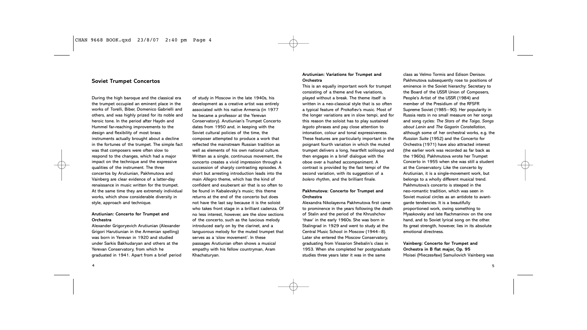# **Soviet Trumpet Concertos**

During the high baroque and the classical era the trumpet occupied an eminent place in the works of Torelli, Biber, Domenico Gabrielli and others, and was highly prized for its noble and heroic tone. In the period after Haydn and Hummel far-reaching improvements to the design and flexibility of most brass instruments actually brought about a decline in the fortunes of the trumpet. The simple fact was that composers were often slow to respond to the changes, which had a major impact on the technique and the expressive qualities of the instrument. The three concertos by Arutiunian, Pakhmutova and Vainberg are clear evidence of a latter-day renaissance in music written for the trumpet. At the same time they are extremely individual works, which show considerable diversity in style, approach and technique.

### **Arutiunian: Concerto for Trumpet and Orchestra**

Alexander Grigoryevich Arutiunian (Alexander Grigori Harutiunian in the Armenian spelling) was born in Yerevan in 1920 and studied under Sarkis Bakhudaryan and others at the Yerevan Conservatory, from which he graduated in 1941. Apart from a brief period of study in Moscow in the late 1940s, his development as a creative artist was entirely associated with his native Armenia (in 1977 he became a professor at the Yerevan Conservatory). Arutiunian's Trumpet Concerto dates from 1950 and, in keeping with the Soviet cultural policies of the time, the composer attempted to produce a work that reflected the mainstream Russian tradition as well as elements of his own national culture. Written as a single, continuous movement, the concerto creates a vivid impression through a succession of sharply contrasting episodes. A short but arresting introduction leads into the main *Allegro* theme, which has the kind of confident and exuberant air that is so often to be found in Kabalevsky's music; this theme returns at the end of the concerto but does not have the last say because it is the soloist who takes front stage in a brilliant cadenza. Of no less interest, however, are the slow sections of the concerto, such as the luscious melody introduced early on by the clarinet, and a languorous melody for the muted trumpet that serves as a 'slow movement'. In these passages Arutiunian often shows a musical empathy with his fellow countryman, Aram

Khachaturyan.

#### **Arutiunian: Variations for Trumpet and Orchestra**

This is an equally important work for trumpet consisting of a theme and five variations, played without a break. The theme itself is written in a neo-classical style that is so often a typical feature of Prokofiev's music. Most of the longer variations are in slow tempi, and for this reason the soloist has to play sustained *legato* phrases and pay close attention to intonation, colour and tonal expressiveness. These features are particularly important in the poignant fourth variation in which the muted trumpet delivers a long, heartfelt soliloquy and then engages in a brief dialogue with the oboe over a hushed accompaniment. A contrast is provided by the fast tempi of the second variation, with its suggestion of a *bolero* rhythm, and the brilliant finale.

### **Pakhmutova: Concerto for Trumpet and Orchestra**

Alexandra Nikolayevna Pakhmutova first came to prominence in the years following the death of Stalin and the period of the Khrushchov 'thaw' in the early 1960s. She was born in Stalingrad in 1929 and went to study at the Central Music School in Moscow (1944–8). Later she entered the Moscow Conservatory, graduating from Vissarion Shebalin's class in 1953. When she completed her postgraduate studies three years later it was in the same

class as Velmo Tormis and Edison Denisov. Pakhmutova subsequently rose to positions of eminence in the Soviet hierarchy: Secretary to the Board of the USSR Union of Composers, People's Artist of the USSR (1984) and member of the Presidium of the RFSFR Supreme Soviet (1985–90). Her popularity in Russia rests in no small measure on her songs and song cycles: *The Stars of the Taiga, Songs about Lenin* and *The Gagarin Constellation*, although some of her orchestral works, e.g. the *Russian Suite* (1952) and the Concerto for Orchestra (1971) have also attracted interest (the earlier work was recorded as far back as the 1960s). Pakhmutova wrote her Trumpet Concerto in 1955 when she was still a student at the Conservatory. Like the concerto by Arutiunian, it is a single-movement work, but belongs to a wholly different musical trend. Pakhmutova's concerto is steeped in the neo-romantic tradition, which was seen in Soviet musical circles as an antidote to avantgarde tendencies. It is a beautifully proportioned work, owing something to Myaskovsky and late Rachmaninov on the one

hand, and to Soviet lyrical song on the other. Its great strength, however, lies in its absolute emotional directness.

**Vainberg: Concerto for Trumpet and Orchestra in B flat major, Op. 95** Moisei (Mieczesław) Samuilovich Vainberg was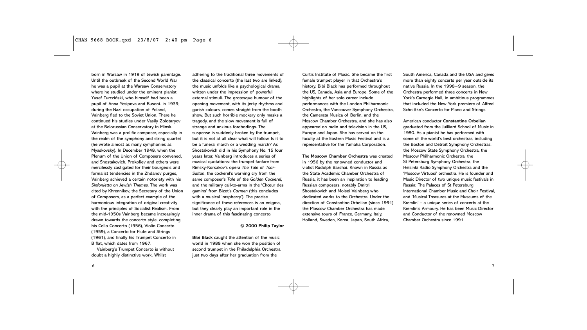born in Warsaw in 1919 of Jewish parentage. Until the outbreak of the Second World War he was a pupil at the Warsaw Conservatory where he studied under the eminent pianist Yusef Turcziński, who himself had been a pupil of Anna Yesipova and Busoni. In 1939, during the Nazi occupation of Poland, Vainberg fled to the Soviet Union. There he continued his studies under Vasily Zolotaryov at the Belorussian Conservatory in Minsk. Vainberg was a prolific composer, especially in the realm of the symphony and string quartet (he wrote almost as many symphonies as Myaskovsky). In December 1948, when the Plenum of the Union of Composers convened, and Shostakovich, Prokofiev and others were mercilessly castigated for their bourgeois and formalist tendencies in the Zhdanov purges, Vainberg achieved a certain notoriety with his *Sinfonietta on Jewish Themes*. The work was cited by Khrennikov, the Secretary of the Union of Composers, as a perfect example of the harmonious integration of original creativity with the principles of Socialist Realism. From the mid-1950s Vainberg became increasingly drawn towards the concerto style, completing his Cello Concerto (1956), Violin Concerto (1959), a Concerto for Flute and Strings (1961), and finally his Trumpet Concerto in B flat, which dates from 1967.

Vainberg's Trumpet Concerto is without doubt a highly distinctive work. Whilst

adhering to the traditional three movements of the classical concerto (the last two are linked), the music unfolds like a psychological drama, written under the impression of powerful external stimuli. The grotesque humour of the opening movement, with its jerky rhythms and garish colours, comes straight from the booth show. But such horrible mockery only masks a tragedy, and the slow movement is full of strange and anxious forebodings. The suspense is suddenly broken by the trumpet, but it is not at all clear what will follow. Is it to be a funeral march or a wedding march? As Shostakovich did in his Symphony No. 15 four years later, Vainberg introduces a series of musical quotations: the trumpet fanfare from Rimsky-Korsakov's opera *The Tale of Tsar-Saltan*, the cockerel's warning cry from the same composer's *Tale of the Golden Cockerel*, and the military call-to-arms in the 'Chœur des gamins' from Bizet's *Carmen* (this concludes with a musical 'raspberry'). The precise significance of these references is an enigma, but they clearly play an important role in the inner drama of this fascinating concerto.

#### **© 2000 Philip Taylor**

**Bibi Black** caught the attention of the music world in 1988 when she won the position of second trumpet in the Philadelphia Orchestra just two days after her graduation from the

Curtis Institute of Music. She became the first female trumpet player in that Orchestra's history. Bibi Black has performed throughout the US, Canada, Asia and Europe. Some of the highlights of her solo career include performances with the London Philharmonic Orchestra, the Vancouver Symphony Orchestra, the Camerata Musica of Berlin, and the Moscow Chamber Orchestra, and she has also appeared on radio and television in the US, Europe and Japan. She has served on the faculty at the Eastern Music Festival and is a representative for the Yamaha Corporation.

The **Moscow Chamber Orchestra** was created in 1956 by the renowned conductor and violist Rudolph Barshai. Known in Russia as the State Academic Chamber Orchestra of Russia, it has been an inspiration to leading Russian composers, notably Dmitri Shostakovich and Moisei Vainberg who dedicated works to the Orchestra. Under the direction of Constantine Orbelian (since 1991) the Moscow Chamber Orchestra has made extensive tours of France, Germany, Italy, Holland, Sweden, Korea, Japan, South Africa,

South America, Canada and the USA and gives more than eighty concerts per year outside its native Russia. In the 1998–9 season, the Orchestra performed three concerts in New York's Carnegie Hall, in ambitious programmes that included the New York premiere of Alfred Schnittke's Concerto for Piano and Strings.

American conductor **Constantine Orbelian** graduated from the Juilliard School of Music in 1980. As a pianist he has performed with some of the world's best orchestras, including the Boston and Detroit Symphony Orchestras, the Moscow State Symphony Orchestra, the Moscow Philharmonic Orchestra, the St Petersburg Symphony Orchestra, the Helsinki Radio Symphony Orchestra and the 'Moscow Virtuosi' orchestra. He is founder and Music Director of two unique music festivals in Russia: The Palaces of St Petersburg International Chamber Music and Choir Festival, and 'Musical Treasures at the Museums of the Kremlin' – a unique series of concerts at the Kremlin's Armoury. He has been Music Director and Conductor of the renowned Moscow Chamber Orchestra since 1991.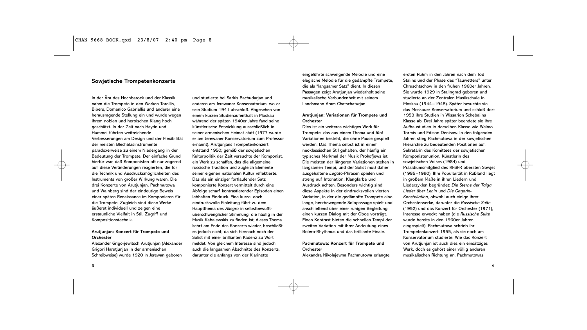### **Sowjetische Trompetenkonzerte**

In der Ära des Hochbarock und der Klassik nahm die Trompete in den Werken Torellis, Bibers, Domenico Gabriellis und anderer eine herausragende Stellung ein und wurde wegen ihrem noblen und heroischen Klang hoch geschätzt. In der Zeit nach Haydn und Hummel führten weitreichende Verbesserungen am Design und der Flexibilität der meisten Blechblasinstrumente paradoxerweise zu einem Niedergang in der Bedeutung der Trompete. Der einfache Grund hierfür war, daß Komponisten oft nur zögernd auf diese Veränderungen reagierten, die für die Technik und Ausdrucksmöglichkeiten des Instruments von großer Wirkung waren. Die drei Konzerte von Arutjunjan, Pachmutowa und Wainberg sind der eindeutige Beweis einer späten Renaissance im Komponieren für die Trompete. Zugleich sind diese Werke äußerst individuell und zeigen eine erstaunliche Vielfalt in Stil, Zugriff und Kompositionstechnik.

### **Arutjunjan: Konzert für Trompete und Orchester**

Alexander Grigorjewitsch Arutjunjan (Alexander Grigori Harutjunjan in der armenischen Schreibweise) wurde 1920 in Jerewan geboren und studierte bei Sarkis Bachudarjan und anderen am Jerewaner Konservatorium, wo er sein Studium 1941 abschloß. Abgesehen von einem kurzen Studienaufenthalt in Moskau während der späten 1940er Jahre fand seine künstlerische Entwicklung ausschließlich in seiner armenischen Heimat statt (1977 wurde er am Jerewaner Konservatorium zum Professor ernannt). Arutjunjans Trompetenkonzert entstand 1950; gemäß der sowjetischen Kulturpolitik der Zeit versuchte der Komponist, ein Werk zu schaffen, das die allgemeine russische Tradition und zugleich Elemente seiner eigenen nationalen Kultur reflektierte. Das als ein einziger fortlaufender Satz komponierte Konzert vermittelt durch eine Abfolge scharf kontrastierender Episoden einen lebhaften Eindruck. Eine kurze, doch eindrucksvolle Einleitung führt zu dem Hauptthema des *Allegro* in selbstbewußtüberschwenglicher Stimmung, die häufig in der Musik Kabalewskis zu finden ist; dieses Thema kehrt am Ende des Konzerts wieder, beschließt es jedoch nicht, da sich hiernach noch der Solist mit einer brillianten Kadenz zu Wort meldet. Von gleichem Interesse sind jedoch auch die langsamen Abschnitte des Konzerts, darunter die anfangs von der Klarinette

eingeführte schwelgende Melodie und eine elegische Melodie für die gedämpfte Trompete, die als "langsamer Satz" dient. In diesen Passagen zeigt Arutjunjan wiederholt seine musikalische Verbundenheit mit seinem Landsmann Aram Chatschaturjan.

#### **Arutjunjan: Variationen für Trompete und Orchester**

Dies ist ein weiteres wichtiges Werk für Trompete, das aus einem Thema und fünf Variationen besteht, die ohne Pause gespielt werden. Das Thema selbst ist in einem neoklassischen Stil gehalten, der häufig ein typisches Merkmal der Musik Prokofjews ist. Die meisten der längeren Variationen stehen in langsamen Tempi, und der Solist muß daher ausgehaltene *Legato*-Phrasen spielen und streng auf Intonation, Klangfarbe und Ausdruck achten. Besonders wichtig sind diese Aspekte in der eindrucksvollen vierten Variation, in der die gedämpfte Trompete eine lange, herzbewegende Solopassage spielt und anschließend über einer ruhigen Begleitung einen kurzen Dialog mit der Oboe vorträgt. Einen Kontrast bieten die schnellen Tempi der zweiten Variation mit ihrer Andeutung eines Bolero-Rhythmus und das brilliante Finale.

# **Pachmutowa: Konzert für Trompete und Orchester**

Alexandra Nikolajewna Pachmutowa erlangte

ersten Ruhm in den Jahren nach dem Tod Stalins und der Phase des "Tauwetters" unter Chruschtschow in den frühen 1960er Jahren. Sie wurde 1929 in Stalingrad geboren und studierte an der Zentralen Musikschule in Moskau (1944–1948). Später besuchte sie das Moskauer Konservatorium und schloß dort 1953 ihre Studien in Wissarion Schebalins Klasse ab. Drei Jahre später beendete sie ihre Aufbaustudien in derselben Klasse wie Welmo Tormis und Edison Denisow. In den folgenden Jahren stieg Pachmutowa in der sowjetischen Hierarchie zu bedeutenden Positionen auf: Sekretärin des Komittees der sowjetischen Komponistenunion, Künstlerin des sowjetischen Volkes (1984) und Präsidiumsmitglied des RFSFR obersten Sowjet (1985–1990). Ihre Popularität in Rußland liegt in großem Maße in ihren Liedern und Liederzyklen begründet: *Die Sterne der Taiga*, *Lieder über Lenin* und *Die Gagarin-Konstellation*, obwohl auch einige ihrer Orchesterwerke, darunter die *Russische Suite* (1952) und das Konzert für Orchester (1971), Interesse erweckt haben (die *Russische Suite* wurde bereits in den 1960er Jahren eingespielt). Pachmutowa schrieb ihr Trompetenkonzert 1955, als sie noch am Konservatorium studierte. Wie das Konzert von Arutjunjan ist auch dies ein einsätziges Werk, doch es gehört einer völlig anderen

musikalischen Richtung an. Pachmutowas

8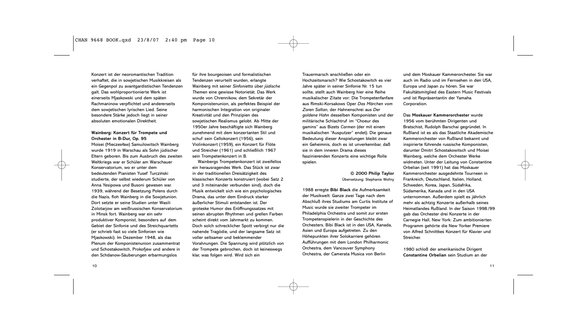Konzert ist der neoromantischen Tradition verhaftet, die in sowjetischen Musikkreisen als ein Gegenpol zu avantgardistischen Tendenzen galt. Das wohlproportionierte Werk ist einerseits Mjaskowski und dem späten Rachmaninow verpflichtet und andererseits dem sowjetischen lyrischen Lied. Seine besondere Stärke jedoch liegt in seiner absoluten emotionalen Direktheit.

# **Wainberg: Konzert für Trompete und Orchester in B-Dur, Op. 95**

Moisei (Mieczesław) Samuilowitsch Wainberg wurde 1919 in Warschau als Sohn jüdischer Eltern geboren. Bis zum Ausbruch des zweiten Weltkriegs war er Schüler am Warschauer Konservatorium, wo er unter dem bedeutenden Pianisten Yusef Turcziński studierte, der selbst wiederum Schüler von Anna Yesipowa und Busoni gewesen war. 1939, während der Besetzung Polens durch die Nazis, floh Wainberg in die Sowjetunion. Dort setzte er seine Studien unter Wasili Zolotarjow am weißrussischen Konservatorium in Minsk fort. Wainberg war ein sehr produktiver Komponist, besonders auf dem Gebiet der Sinfonie und des Streichquartetts (er schrieb fast so viele Sinfonien wie Mjaskowski). Im Dezember 1948, als das Plenum der Komponistenunion zusammentrat und Schostakowitch, Prokofjew und andere in den Schdanow-Säuberungen erbarmungslos

für ihre bourgeoisen und formalistischen Tendenzen verurteilt wurden, erlangte Wainberg mit seiner *Sinfonietta über jüdische Themen* eine gewisse Notorietät. Das Werk wurde von Chrennikow, dem Sekretär der Komponistenunion, als perfektes Beispiel der harmonischen Integration von originaler Kreativität und den Prinzipien des sowjetischen Realismus gelobt. Ab Mitte der 1950er Jahre beschäftigte sich Wainberg zunehmend mit dem konzertanten Stil und schuf sein Cellokonzert (1956), sein Violinkonzert (1959), ein Konzert für Flöte und Streicher (1961) und schließlich 1967 sein Trompetenkonzert in B.

Wainbergs Trompetenkonzert ist zweifellos ein herausragendes Werk. Das Stück ist zwar in der traditionellen Dreisätzigkeit des klassischen Konzerts konstruiert (wobei Satz 2 und 3 miteinander verbunden sind), doch die Musik entwickelt sich wie ein psychologisches Drama, das unter dem Eindruck starker äußerlicher Stimuli entstanden ist. Der groteske Humor des Eröffnungssatzes mit seinen abrupten Rhythmen und grellen Farben scheint direkt vom Jahrmarkt zu kommen. Doch solch schrecklicher Spott verbirgt nur die nahende Tragödie, und der langsame Satz ist voller seltsamer und beklemmender Vorahnungen. Die Spannung wird plötzlich von der Trompete gebrochen, doch ist keineswegs klar, was folgen wird. Wird sich ein

Trauermarsch anschließen oder ein Hochzeitsmarsch? Wie Schostakowitch es vier Jahre später in seiner Sinfonie Nr. 15 tun sollte, stellt auch Wainberg hier eine Reihe musikalischer Zitate vor: Die Trompetenfanfare aus Rimski-Korsakows Oper *Das Märchen vom Zaren Saltan*, der Hahnenschrei aus *Der goldene Hahn* desselben Komponisten und der militärische Schlachtruf im "Choeur des gamins" aus Bizets *Carmen* (der mit einem musikalischen "Ausputzer" endet). Die genaue Bedeutung dieser Anspielungen bleibt zwar ein Geheimnis, doch es ist unverkennbar, daß sie in dem inneren Drama dieses faszinierenden Konzerts eine wichtige Rolle spielen.

#### **© 2000 Philip Taylor** Übersetzung: Stephanie Wollny

1988 erregte **Bibi Black** die Aufmerksamkeit der Musikwelt: Ganze zwei Tage nach dem Abschluß ihres Studiums am Curtis Institute of Music wurde sie zweiter Trompeter im Philadelphia Orchestra und somit zur ersten Trompetenspielerin in der Geschichte des Orchesters. Bibi Black ist in den USA, Kanada, Asien und Europa aufgetreten. Zu den Höhepunkten ihrer Solokarriere gehören Aufführungen mit dem London Philharmonic Orchestra, dem Vancouver Symphony Orchestra, der Camerata Musica von Berlin

und dem Moskauer Kammerorchester. Sie war auch im Radio und im Fernsehen in den USA, Europa und Japan zu hören. Sie war Fakultätsmitglied des Eastern Music Festivals und ist Repräsentantin der Yamaha Corporation.

Das **Moskauer Kammerorchester** wurde 1956 vom berühmten Dirigenten und Bratschist, Rudolph Barschai gegründet. In Rußland ist es als das Staatliche Akademische Kammerorchester von Rußland bekannt und inspirierte führende russische Komponisten, darunter Dmitri Schostakowitsch und Moisei Wainberg, welche dem Orchester Werke widmeten. Unter der Leitung von Constantine Orbelian (seit 1991) hat das Moskauer Kammerorchester ausgedehnte Tourneen in Frankreich, Deutschland, Italien, Holland, Schweden, Korea, Japan, Südafrika, Südamerika, Kanada und in den USA unternommen. Außerdem spielt es jährlich mehr als achtzig Konzerte außerhalb seines Heimatlandes Rußland. In der Saison 1998/99 gab das Orchester drei Konzerte in der Carnegie Hall, New York: Zum ambitionierten Programm gehörte die New Yorker Premiere von Alfred Schnittkes Konzert für Klavier und Streicher.

1980 schloß der amerikanische Dirigent **Constantine Orbelian** sein Studium an der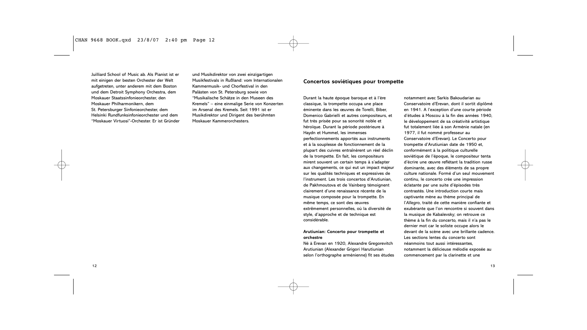Juilliard School of Music ab. Als Pianist ist er mit einigen der besten Orchester der Welt aufgetreten, unter anderem mit dem Boston und dem Detroit Symphony Orchestra, dem Moskauer Staatssinfonieorchester, den Moskauer Philharmonikern, dem St. Petersburger Sinfonieorchester, dem Helsinki Rundfunksinfonieorchester und dem "Moskauer Virtuosi"-Orchester. Er ist Gründer und Musikdirektor von zwei einzigartigen Musikfestivals in Rußland: vom Internationalen Kammermusik- und Chorfestival in den Palästen von St. Petersburg sowie von "Musikalische Schätze in den Museen des Kremels" – eine einmalige Serie von Konzerten im Arsenal des Kremels. Seit 1991 ist er Musikdirektor und Dirigent des berühmten Moskauer Kammerorchesters.

#### **Concertos soviétiques pour trompette**

Durant la haute époque baroque et à l'ère classique, la trompette occupa une place éminente dans les œuvres de Torelli, Biber, Domenico Gabrielli et autres compositeurs, et fut très prisée pour sa sonorité noble et héroïque. Durant la période postérieure à Haydn et Hummel, les immenses perfectionnements apportés aux instruments et à la souplesse de fonctionnement de la plupart des cuivres entraînèrent un réel déclin de la trompette. En fait, les compositeurs mirent souvent un certain temps à s'adapter aux changements, ce qui eut un impact majeur sur les qualités techniques et expressives de l'instrument. Les trois concertos d'Arutiunian, de Pakhmoutova et de Vainberg témoignent clairement d'une renaissance récente de la musique composée pour la trompette. En même temps, ce sont des œuvres extrêmement personnelles, où la diversité de style, d'approche et de technique est considérable.

**Arutiunian: Concerto pour trompette et orchestre**

Né à Erevan en 1920, Alexandre Gregorevitch Arutiunian (Alexander Grigori Harutiunian selon l'orthographe arménienne) fit ses études notamment avec Sarkis Bakoudarian au Conservatoire d'Erevan, dont il sortit diplômé en 1941. A l'exception d'une courte période d'études à Moscou à la fin des années 1940, le développement de sa créativité artistique fut totalement liée à son Arménie natale (en 1977, il fut nommé professeur au Conservatoire d'Erevan). Le Concerto pour trompette d'Arutiunian date de 1950 et, conformément à la politique culturelle soviétique de l'époque, le compositeur tenta d'écrire une œuvre reflétant la tradition russe dominante, avec des éléments de sa propre culture nationale. Formé d'un seul mouvement continu, le concerto crée une impression éclatante par une suite d'épisodes très contrastés. Une introduction courte mais captivante mène au thème principal de l'*Allegro*, traité de cette manière confiante et exubérante que l'on rencontre si souvent dans la musique de Kabalevsky; on retrouve ce thème à la fin du concerto, mais il n'a pas le dernier mot car le soliste occupe alors le devant de la scène avec une brillante cadence. Les sections lentes du concerto sont néanmoins tout aussi intéressantes,

notamment la délicieuse mélodie exposée au commencement par la clarinette et une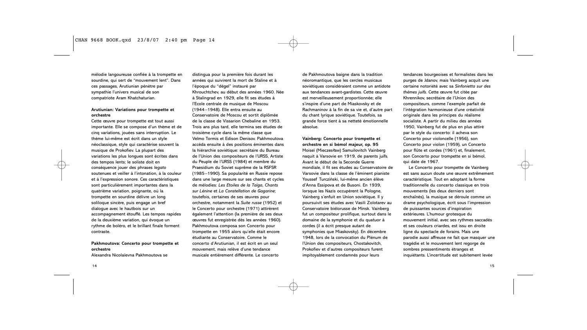mélodie langoureuse confiée à la trompette en sourdine, qui sert de "mouvement lent". Dans ces passages, Arutiunian pénètre par sympathie l'univers musical de son compatriote Aram Khatchaturian.

## **Arutiunian: Variations pour trompette et orchestre**

Cette œuvre pour trompette est tout aussi importante. Elle se compose d'un thème et de cinq variations, jouées sans interruption. Le thème lui-même est écrit dans un style néoclassique, style qui caractérise souvent la musique de Prokofiev. La plupart des variations les plus longues sont écrites dans des tempos lents; le soliste doit en conséquence jouer des phrases *legato* soutenues et veiller à l'intonation, à la couleur et à l'expression sonore. Ces caractéristiques sont particulièrement importantes dans la quatrième variation, poignante, où la trompette en sourdine délivre un long soliloque sincère, puis engage un bref dialogue avec le hautbois sur un accompagnement étouffé. Les tempos rapides de la deuxième variation, qui évoque un rythme de boléro, et le brillant finale forment contraste.

**Pakhmoutova: Concerto pour trompette et orchestre** Alexandra Nicolaïevna Pakhmoutova se

distingua pour la première fois durant les années qui suivirent la mort de Staline et à l'époque du "dégel" instauré par Khrouchtchev, au début des années 1960. Née à Stalingrad en 1929, elle fit ses études à l'Ecole centrale de musique de Moscou (1944–1948). Elle entra ensuite au Conservatoire de Moscou et sortit diplômée de la classe de Vissarion Chebaline en 1953. Trois ans plus tard, elle termina ses études de troisième cycle dans la même classe que Velmo Tormis et Edison Denisov. Pakhmoutova accéda ensuite à des positions éminentes dans la hiérarchie soviétique: secrétaire du Bureau de l'Union des compositeurs de l'URSS, Artiste du Peuple de l'URSS (1984) et membre du Praesidium du Soviet suprême de la RSFSR (1985–1990). Sa popularité en Russie repose dans une large mesure sur ses chants et cycles de mélodies: *Les Etoiles de la Taïga*, *Chants sur Lénine* et *La Constellation de Gagarine*; toutefois, certaines de ses œuvres pour orchestre, notamment la *Suite russe* (1952) et le Concerto pour orchestre (1971) attirèrent également l'attention (la première de ses deux œuvres fut enregistrée dès les années 1960). Pakhmoutova composa son Concerto pour trompette en 1955 alors qu'elle était encore étudiante au Conservatoire. Comme le concerto d'Arutiunian, il est écrit en un seul mouvement, mais relève d'une tendance musicale entièrement différente. Le concerto

de Pakhmoutova baigne dans la tradition néoromantique, que les cercles musicaux soviétiques considéraient comme un antidote aux tendances avant-gardistes. Cette œuvre est merveilleusement proportionnée; elle s'inspire d'une part de Miaskovsky et de Rachmaninov à la fin de sa vie et, d'autre part du chant lyrique soviétique. Toutefois, sa grande force tient à sa netteté émotionnelle absolue.

**Vainberg: Concerto pour trompette et orchestre en si bémol majeur, op. 95** Moiseï (Mieczesław) Samuilovitch Vainberg naquit à Varsovie en 1919, de parents juifs. Avant le début de la Seconde Guerre mondiale, il fit ses études au Conservatoire de Varsovie dans la classe de l'éminent pianiste Youssef Turcziński, lui-même ancien élève d'Anna Essipova et de Busoni. En 1939, lorsque les Nazis occupèrent la Pologne, Vainberg s'enfuit en Union soviétique. Il y poursuivit ses études avec Vasili Zolotarev au Conservatoire biélorusse de Minsk. Vainberg fut un compositeur prolifique, surtout dans le domaine de la symphonie et du quatuor à cordes (il a écrit presque autant de symphonies que Miaskovsky). En décembre 1948, lors de la convocation du Plénum de l'Union des compositeurs, Chostakovitch, Prokofiev et d'autres compositeurs furent impitoyablement condamnés pour leurs

tendances bourgeoises et formalistes dans les purges de Jdanov, mais Vainberg acquit une certaine notoriété avec sa *Sinfonietta sur des thèmes juifs*. Cette œuvre fut citée par Khrennikov, secrétaire de l'Union des compositeurs, comme l'exemple parfait de l'intégration harmonieuse d'une créativité originale dans les principes du réalisme socialiste. A partir du milieu des années 1950, Vainberg fut de plus en plus attiré par le style du concerto: il acheva son Concerto pour violoncelle (1956), son Concerto pour violon (1959), un Concerto pour flûte et cordes (1961) et, finalement, son Concerto pour trompette en si bémol, qui date de 1967.

Le Concerto pour trompette de Vainberg est sans aucun doute une œuvre extrêmement caractéristique. Tout en adoptant la forme traditionnelle du concerto classique en trois mouvements (les deux derniers sont enchaînés), la musique se déroule comme un drame psychologique, écrit sous l'impression de puissantes sources d'inspiration extérieures. L'humour grotesque du mouvement initial, avec ses rythmes saccadés et ses couleurs criardes, est issu en droite ligne du spectacle de forains. Mais une parodie aussi affreuse ne fait que masquer une tragédie et le mouvement lent regorge de sombres pressentiments étranges et inquiétants. L'incertitude est subitement levée

15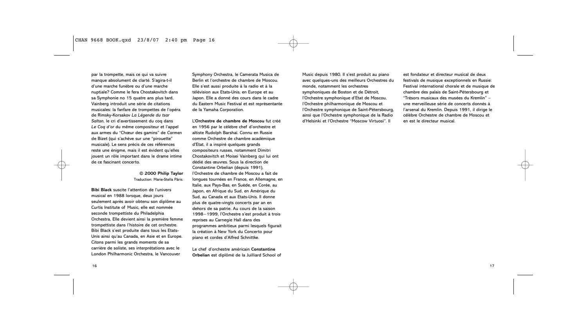par la trompette, mais ce qui va suivre manque absolument de clarté. S'agira-t-il d'une marche funèbre ou d'une marche nuptiale? Comme le fera Chostakovitch dans sa Symphonie no 15 quatre ans plus tard, Vainberg introduit une série de citations musicales: la fanfare de trompettes de l'opéra de Rimsky-Korsakov *La Légende du tsar Saltan*, le cri d'avertissement du coq dans *Le Coq d'or* du même compositeur et l'appel aux armes du "Chœur des gamins" de *Carmen* de Bizet (qui s'achève sur une "pirouette" musicale). Le sens précis de ces références reste une énigme, mais il est évident qu'elles jouent un rôle important dans le drame intime de ce fascinant concerto.

> **© 2000 Philip Taylor** Traduction: Marie-Stella Pâris.

**Bibi Black** suscite l'attention de l'univers musical en 1988 lorsque, deux jours seulement après avoir obtenu son diplôme au Curtis Institute of Music, elle est nommée seconde trompettiste du Philadelphia Orchestra. Elle devient ainsi la première femme trompettiste dans l'histoire de cet orchestre. Bibi Black s'est produite dans tous les Etats-Unis ainsi qu'au Canada, en Asie et en Europe. Citons parmi les grands moments de sa carrière de soliste, ses interprétations avec le London Philharmonic Orchestra, le Vancouver

Symphony Orchestra, le Camerata Musica de Berlin et l'orchestre de chambre de Moscou. Elle s'est aussi produite à la radio et à la télévision aux Etats-Unis, en Europe et au Japon. Elle a donné des cours dans le cadre du Eastern Music Festival et est représentante de la Yamaha Corporation.

L'**Orchestre de chambre de Moscou** fut créé en 1956 par le célèbre chef d'orchestre et altiste Rudolph Barshaï. Connu en Russie comme Orchestre de chambre académique d'Etat, il a inspiré quelques grands compositeurs russes, notamment Dimitri Chostakovitch et Moisei Vainberg qui lui ont dédié des œuvres. Sous la direction de Constantine Orbelian (depuis 1991), l'Orchestre de chambre de Moscou a fait de longues tournées en France, en Allemagne, en Italie, aux Pays-Bas, en Suède, en Corée, au Japon, en Afrique du Sud, en Amérique du Sud, au Canada et aux Etats-Unis. Il donne plus de quatre-vingts concerts par an en dehors de sa patrie. Au cours de la saison 1998–1999, l'Orchestre s'est produit à trois reprises au Carnegie Hall dans des programmes ambitieux parmi lesquels figurait la création à New York du Concerto pour piano et cordes d'Alfred Schnittke.

Le chef d'orchestre américain **Constantine Orbelian** est diplômé de la Juilliard School of

Music depuis 1980. Il s'est produit au piano avec quelques-uns des meilleurs Orchestres du monde, notamment les orchestres symphoniques de Boston et de Détroit, l'Orchestre symphonique d'Etat de Moscou, l'Orchestre philharmonique de Moscou et l'Orchestre symphonique de Saint-Pétersbourg, ainsi que l'Orchestre symphonique de la Radio d'Helsinki et l'Orchestre "Moscow Virtuosi". Il

est fondateur et directeur musical de deux festivals de musique exceptionnels en Russie: Festival international chorale et de musique de chambre des palais de Saint-Pétersbourg et "Trésors musicaux des musées du Kremlin" – une merveilleuse série de concerts donnés à l'arsenal du Kremlin. Depuis 1991, il dirige le célèbre Orchestre de chambre de Moscou et en est le directeur musical.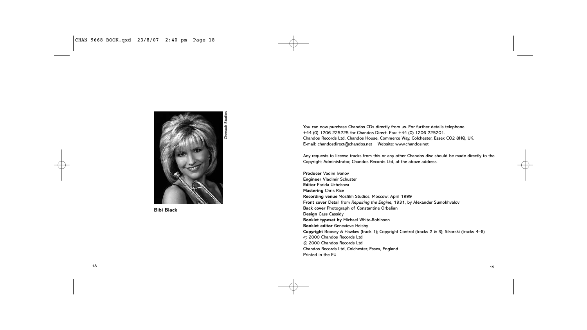

**Bibi Black**

You can now purchase Chandos CDs directly from us. For further details telephone +44 (0) 1206 225225 for Chandos Direct. Fax: +44 (0) 1206 225201. Chandos Records Ltd, Chandos House, Commerce Way, Colchester, Essex CO2 8HQ, UK. E-mail: chandosdirect@chandos.net Website: www.chandos.net

Any requests to license tracks from this or any other Chandos disc should be made directly to the Copyright Administrator, Chandos Records Ltd, at the above address.

**Producer** Vadim Ivanov **Engineer** Vladimir Schuster **Editor** Farida Uzbekova **Mastering** Chris Rice **Recording venue** Mosfilm Studios, Moscow; April 1999 **Front cover** Detail from *Repairing the Engine*, 1931, by Alexander Sumokhvalov **Back cover** Photograph of Constantine Orbelian **Design** Cass Cassidy **Booklet typeset by** Michael White-Robinson **Booklet editor** Genevieve Helsby **Copyright** Boosey & Hawkes (track 1); Copyright Control (tracks 2 & 3); Sikorski (tracks 4–6)  $\odot$  2000 Chandos Records Ltd © 2000 Chandos Records Ltd Chandos Records Ltd, Colchester, Essex, England Printed in the EU